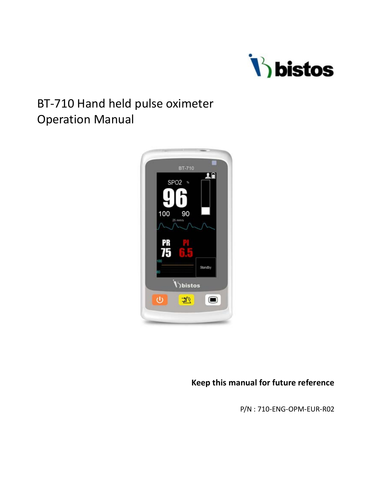

# BT-710 Hand held pulse oximeter Operation Manual



# **Keep this manual for future reference**

P/N : 710-ENG-OPM-EUR-R02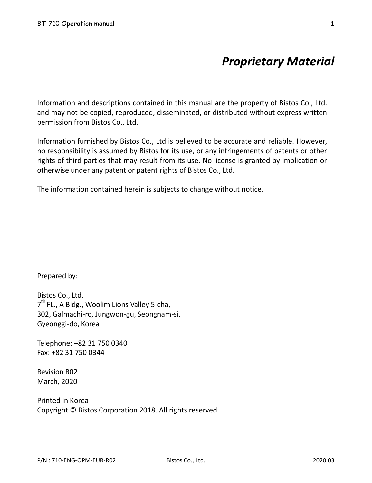# *Proprietary Material*

Information and descriptions contained in this manual are the property of Bistos  $Co$ . Ltd. and may not be copied, reproduced, disseminated, or distributed without express written permission from Bistos Co., Ltd.

Information furnished by Bistos Co., Ltd is believed to be accurate and reliable. However, no responsibility is assumed by Bistos for its use, or any infringements of patents or other rights of third parties that may result from its use. No license is granted by implication or otherwise under any patent or patent rights of Bistos Co., Ltd.

The information contained herein is subjects to change without notice.

Prepared by:

Bistos Co., Ltd. 7<sup>th</sup> FL., A Bldg., Woolim Lions Valley 5-cha, 302, Galmachi-ro, Jungwon-gu, Seongnam-si, Gyeonggi-do, Korea

Telephone: +82 31 750 0340 Fax: +82 31 750 0344

Revision R02 March, 2020

Printed in Korea Copyright © Bistos Corporation 2018. All rights reserved.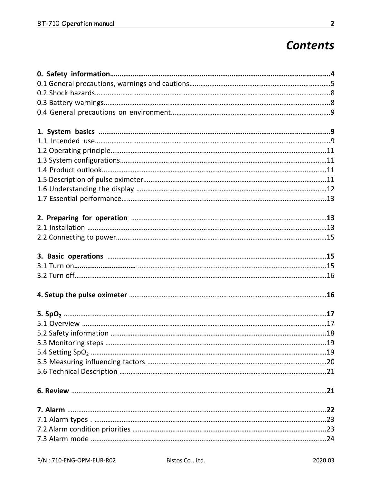# *Contents*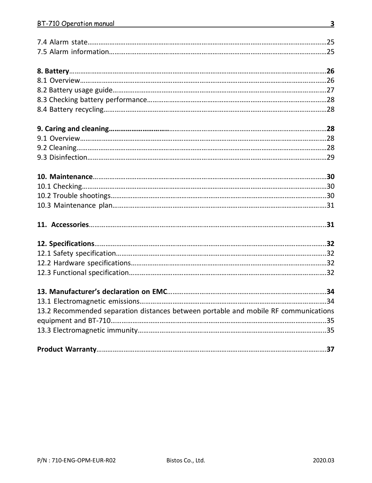| 13.2 Recommended separation distances between portable and mobile RF communications |
|-------------------------------------------------------------------------------------|
|                                                                                     |
|                                                                                     |
|                                                                                     |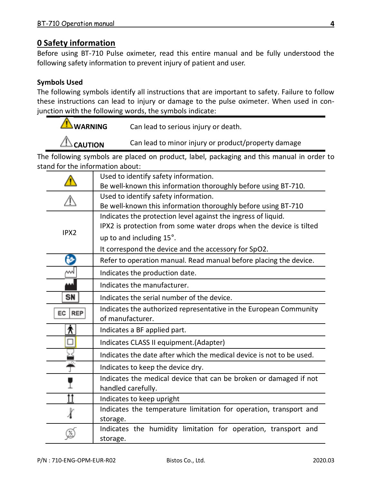# **0 Safety information**

Before using BT-710 Pulse oximeter, read this entire manual and be fully understood the following safety information to prevent injury of patient and user.

#### **Symbols Used**

The following symbols identify all instructions that are important to safety. Failure to follow these instructions can lead to injury or damage to the pulse oximeter. When used in conjunction with the following words, the symbols indicate:

| <b>NARNING</b>      | Can lead to serious injury or death.                |
|---------------------|-----------------------------------------------------|
| $\triangle$ Caution | Can lead to minor injury or product/property damage |
|                     |                                                     |

The following symbols are placed on product, label, packaging and this manual in order to stand for the information about:

|                  | Used to identify safety information.                                 |  |
|------------------|----------------------------------------------------------------------|--|
|                  | Be well-known this information thoroughly before using BT-710.       |  |
|                  | Used to identify safety information.                                 |  |
|                  | Be well-known this information thoroughly before using BT-710        |  |
|                  | Indicates the protection level against the ingress of liquid.        |  |
|                  | IPX2 is protection from some water drops when the device is tilted   |  |
| IPX <sub>2</sub> | up to and including 15°.                                             |  |
|                  | It correspond the device and the accessory for SpO2.                 |  |
| Θ                | Refer to operation manual. Read manual before placing the device.    |  |
| MN               | Indicates the production date.                                       |  |
|                  | Indicates the manufacturer.                                          |  |
| SN               | Indicates the serial number of the device.                           |  |
| <b>REP</b><br>EC | Indicates the authorized representative in the European Community    |  |
|                  | of manufacturer.                                                     |  |
| Λ                | Indicates a BF applied part.                                         |  |
| □                | Indicates CLASS II equipment.(Adapter)                               |  |
|                  | Indicates the date after which the medical device is not to be used. |  |
|                  | Indicates to keep the device dry.                                    |  |
|                  | Indicates the medical device that can be broken or damaged if not    |  |
|                  | handled carefully.                                                   |  |
|                  | Indicates to keep upright                                            |  |
|                  | Indicates the temperature limitation for operation, transport and    |  |
|                  | storage.                                                             |  |
|                  | Indicates the humidity limitation for operation, transport and       |  |
|                  | storage.                                                             |  |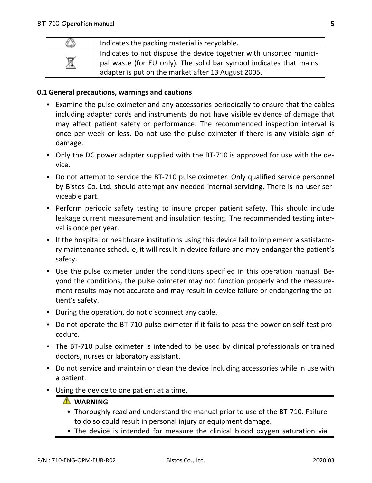|   | Indicates the packing material is recyclable.                                                                                                                                                  |
|---|------------------------------------------------------------------------------------------------------------------------------------------------------------------------------------------------|
| ⊠ | Indicates to not dispose the device together with unsorted munici-<br>pal waste (for EU only). The solid bar symbol indicates that mains<br>adapter is put on the market after 13 August 2005. |

#### **0.1 General precautions, warnings and cautions**

- Examine the pulse oximeter and any accessories periodically to ensure that the cables including adapter cords and instruments do not have visible evidence of damage that may affect patient safety or performance. The recommended inspection interval is once per week or less. Do not use the pulse oximeter if there is any visible sign of damage.
- Only the DC power adapter supplied with the BT-710 is approved for use with the device.
- Do not attempt to service the BT-710 pulse oximeter. Only qualified service personnel by Bistos Co. Ltd. should attempt any needed internal servicing. There is no user serviceable part.
- Perform periodic safety testing to insure proper patient safety. This should include leakage current measurement and insulation testing. The recommended testing interval is once per year.
- If the hospital or healthcare institutions using this device fail to implement a satisfactory maintenance schedule, it will result in device failure and may endanger the patient's safety.
- Use the pulse oximeter under the conditions specified in this operation manual. Beyond the conditions, the pulse oximeter may not function properly and the measurement results may not accurate and may result in device failure or endangering the patient's safety.
- During the operation, do not disconnect any cable.
- Do not operate the BT-710 pulse oximeter if it fails to pass the power on self-test procedure.
- The BT-710 pulse oximeter is intended to be used by clinical professionals or trained doctors, nurses or laboratory assistant.
- Do not service and maintain or clean the device including accessories while in use with a patient.
- Using the device to one patient at a time.

# **WARNING**

- Thoroughly read and understand the manual prior to use of the BT-710. Failure to do so could result in personal injury or equipment damage.
- The device is intended for measure the clinical blood oxygen saturation via

**5**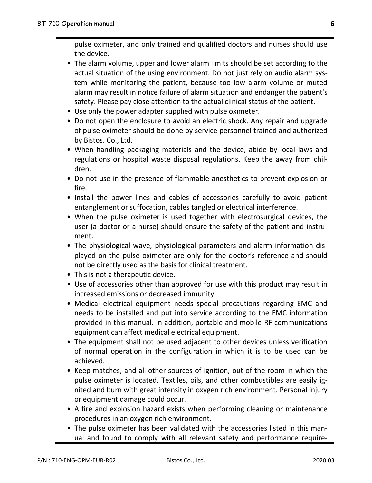pulse oximeter, and only trained and qualified doctors and nurses should use the device.

- The alarm volume, upper and lower alarm limits should be set according to the actual situation of the using environment. Do not just rely on audio alarm system while monitoring the patient, because too low alarm volume or muted alarm may result in notice failure of alarm situation and endanger the patient's safety. Please pay close attention to the actual clinical status of the patient.
- Use only the power adapter supplied with pulse oximeter.
- Do not open the enclosure to avoid an electric shock. Any repair and upgrade of pulse oximeter should be done by service personnel trained and authorized by Bistos. Co., Ltd.
- When handling packaging materials and the device, abide by local laws and regulations or hospital waste disposal regulations. Keep the away from children.
- Do not use in the presence of flammable anesthetics to prevent explosion or fire.
- Install the power lines and cables of accessories carefully to avoid patient entanglement or suffocation, cables tangled or electrical interference.
- When the pulse oximeter is used together with electrosurgical devices, the user (a doctor or a nurse) should ensure the safety of the patient and instrument.
- The physiological wave, physiological parameters and alarm information displayed on the pulse oximeter are only for the doctor's reference and should not be directly used as the basis for clinical treatment.
- This is not a therapeutic device.
- Use of accessories other than approved for use with this product may result in increased emissions or decreased immunity.
- Medical electrical equipment needs special precautions regarding EMC and needs to be installed and put into service according to the EMC information provided in this manual. In addition, portable and mobile RF communications equipment can affect medical electrical equipment.
- The equipment shall not be used adjacent to other devices unless verification of normal operation in the configuration in which it is to be used can be achieved.
- Keep matches, and all other sources of ignition, out of the room in which the pulse oximeter is located. Textiles, oils, and other combustibles are easily ignited and burn with great intensity in oxygen rich environment. Personal injury or equipment damage could occur.
- A fire and explosion hazard exists when performing cleaning or maintenance procedures in an oxygen rich environment.
- The pulse oximeter has been validated with the accessories listed in this manual and found to comply with all relevant safety and performance require-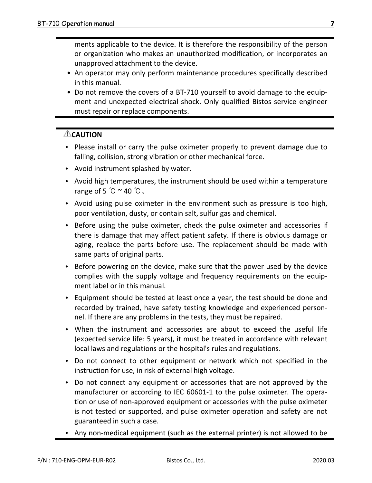ments applicable to the device. It is therefore the responsibility of the person or organization who makes an unauthorized modification, or incorporates an unapproved attachment to the device.

- An operator may only perform maintenance procedures specifically described in this manual.
- Do not remove the covers of a BT-710 yourself to avoid damage to the equipment and unexpected electrical shock. Only qualified Bistos service engineer must repair or replace components.

# **CAUTION**

- Please install or carry the pulse oximeter properly to prevent damage due to falling, collision, strong vibration or other mechanical force.
- Avoid instrument splashed by water
- Avoid high temperatures, the instrument should be used within a temperature range of 5 ℃ ~ 40 ℃。
- Avoid using pulse oximeter in the environment such as pressure is too high, poor ventilation, dusty, or contain salt, sulfur gas and chemical.
- Before using the pulse oximeter, check the pulse oximeter and accessories if there is damage that may affect patient safety. If there is obvious damage or aging, replace the parts before use. The replacement should be made with same parts of original parts.
- Before powering on the device, make sure that the power used by the device complies with the supply voltage and frequency requirements on the equipment label or in this manual.
- Equipment should be tested at least once a year, the test should be done and recorded by trained, have safety testing knowledge and experienced personnel. If there are any problems in the tests, they must be repaired.
- When the instrument and accessories are about to exceed the useful life (expected service life: 5 years), it must be treated in accordance with relevant local laws and regulations or the hospital's rules and regulations.
- Do not connect to other equipment or network which not specified in the instruction for use, in risk of external high voltage.
- Do not connect any equipment or accessories that are not approved by the manufacturer or according to IEC 60601-1 to the pulse oximeter. The operation or use of non-approved equipment or accessories with the pulse oximeter is not tested or supported, and pulse oximeter operation and safety are not guaranteed in such a case.
- Any non-medical equipment (such as the external printer) is not allowed to be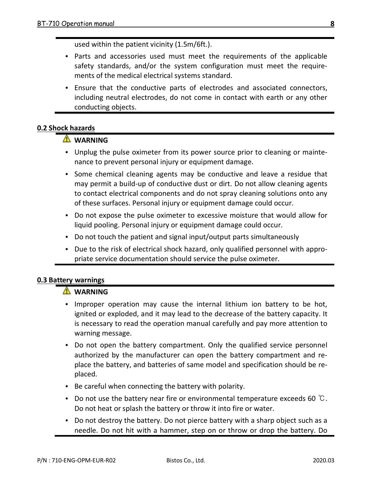used within the patient vicinity (1.5m/6ft.).

- Parts and accessories used must meet the requirements of the applicable safety standards, and/or the system configuration must meet the requirements of the medical electrical systems standard.
- Ensure that the conductive parts of electrodes and associated connectors, including neutral electrodes, do not come in contact with earth or any other conducting objects.

## **0.2 Shock hazards**

# **WARNING**

- Unplug the pulse oximeter from its power source prior to cleaning or maintenance to prevent personal injury or equipment damage.
- Some chemical cleaning agents may be conductive and leave a residue that may permit a build-up of conductive dust or dirt. Do not allow cleaning agents to contact electrical components and do not spray cleaning solutions onto any of these surfaces. Personal injury or equipment damage could occur.
- Do not expose the pulse oximeter to excessive moisture that would allow for liquid pooling. Personal injury or equipment damage could occur.
- Do not touch the patient and signal input/output parts simultaneously
- Due to the risk of electrical shock hazard, only qualified personnel with appropriate service documentation should service the pulse oximeter.

## **0.3 Battery warnings**

#### **WARNING**

- Improper operation may cause the internal lithium ion battery to be hot, ignited or exploded, and it may lead to the decrease of the battery capacity. It is necessary to read the operation manual carefully and pay more attention to warning message.
- Do not open the battery compartment. Only the qualified service personnel authorized by the manufacturer can open the battery compartment and replace the battery, and batteries of same model and specification should be replaced.
- Be careful when connecting the battery with polarity.
- Do not use the battery near fire or environmental temperature exceeds 60 ℃. Do not heat or splash the battery or throw it into fire or water.
- Do not destroy the battery. Do not pierce battery with a sharp object such as a needle. Do not hit with a hammer, step on or throw or drop the battery. Do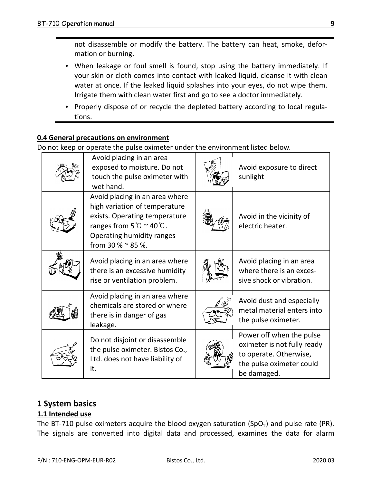not disassemble or modify the battery. The battery can heat, smoke, deformation or burning.

- When leakage or foul smell is found, stop using the battery immediately. If your skin or cloth comes into contact with leaked liquid, cleanse it with clean water at once. If the leaked liquid splashes into your eyes, do not wipe them. Irrigate them with clean water first and go to see a doctor immediately.
- Properly dispose of or recycle the depleted battery according to local regulations.

## **0.4 General precautions on environment**

Do not keep or operate the pulse oximeter under the environment listed below.

| Avoid placing in an area<br>exposed to moisture. Do not<br>touch the pulse oximeter with<br>wet hand.                                                                                            | Avoid exposure to direct<br>sunlight                                                                                         |
|--------------------------------------------------------------------------------------------------------------------------------------------------------------------------------------------------|------------------------------------------------------------------------------------------------------------------------------|
| Avoid placing in an area where<br>high variation of temperature<br>exists. Operating temperature<br>ranges from $5^{\circ}$ ~ 40 $^{\circ}$ C.<br>Operating humidity ranges<br>from 30 % ~ 85 %. | Avoid in the vicinity of<br>electric heater.                                                                                 |
| Avoid placing in an area where<br>there is an excessive humidity<br>rise or ventilation problem.                                                                                                 | Avoid placing in an area<br>where there is an exces-<br>sive shock or vibration.                                             |
| Avoid placing in an area where<br>chemicals are stored or where<br>there is in danger of gas<br>leakage.                                                                                         | Avoid dust and especially<br>metal material enters into<br>the pulse oximeter.                                               |
| Do not disjoint or disassemble<br>the pulse oximeter. Bistos Co.,<br>Ltd. does not have liability of<br>it.                                                                                      | Power off when the pulse<br>oximeter is not fully ready<br>to operate. Otherwise,<br>the pulse oximeter could<br>be damaged. |

# **1 System basics**

## **1.1 Intended use**

The BT-710 pulse oximeters acquire the blood oxygen saturation (SpO<sub>2</sub>) and pulse rate (PR). The signals are converted into digital data and processed, examines the data for alarm

**9**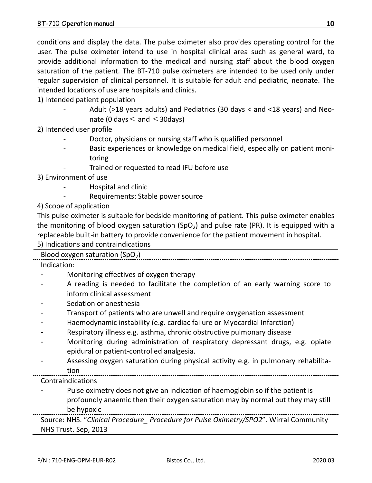conditions and display the data. The pulse oximeter also provides operating control for the user. The pulse oximeter intend to use in hospital clinical area such as general ward, to provide additional information to the medical and nursing staff about the blood oxygen saturation of the patient. The BT-710 pulse oximeters are intended to be used only under regular supervision of clinical personnel. It is suitable for adult and pediatric, neonate. The intended locations of use are hospitals and clinics.

1) Intended patient population

- Adult (>18 years adults) and Pediatrics (30 days < and <18 years) and Neonate (0 days< and <30days)
- 2) Intended user profile
	- Doctor, physicians or nursing staff who is qualified personnel
	- Basic experiences or knowledge on medical field, especially on patient monitoring
	- Trained or requested to read IFU before use

3) Environment of use

- Hospital and clinic
- Requirements: Stable power source

4) Scope of application

This pulse oximeter is suitable for bedside monitoring of patient. This pulse oximeter enables the monitoring of blood oxygen saturation (SpO<sub>2</sub>) and pulse rate (PR). It is equipped with a replaceable built-in battery to provide convenience for the patient movement in hospital. 5) Indications and contraindications

|             | <b><i>DIMIGRATIONS GIVE CONTRANTO RESERVIS</i></b>                                    |
|-------------|---------------------------------------------------------------------------------------|
|             | Blood oxygen saturation (SpO <sub>2</sub> )                                           |
| Indication: |                                                                                       |
|             | Monitoring effectives of oxygen therapy                                               |
|             | A reading is needed to facilitate the completion of an early warning score to         |
|             | inform clinical assessment                                                            |
|             | Sedation or anesthesia                                                                |
|             | Transport of patients who are unwell and require oxygenation assessment               |
|             | Haemodynamic instability (e.g. cardiac failure or Myocardial Infarction)              |
|             | Respiratory illness e.g. asthma, chronic obstructive pulmonary disease                |
|             | Monitoring during administration of respiratory depressant drugs, e.g. opiate         |
|             | epidural or patient-controlled analgesia.                                             |
|             | Assessing oxygen saturation during physical activity e.g. in pulmonary rehabilita-    |
|             | tion                                                                                  |
|             | Contraindications                                                                     |
|             | Pulse oximetry does not give an indication of haemoglobin so if the patient is        |
|             | profoundly anaemic then their oxygen saturation may by normal but they may still      |
|             | be hypoxic                                                                            |
|             | Source: NHS. "Clinical Procedure Procedure for Pulse Oximetry/SPO2". Wirral Community |
|             | NHS Trust. Sep, 2013                                                                  |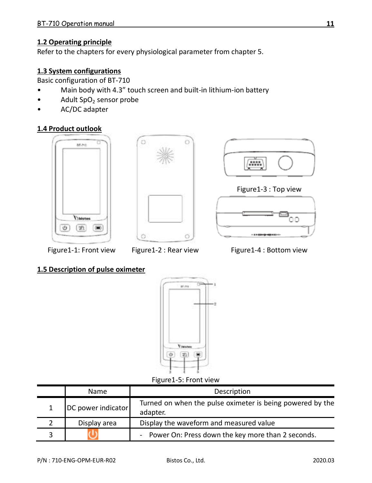# **1.2 Operating principle**

Refer to the chapters for every physiological parameter from chapter 5.

#### **1.3 System configurations**

Basic configuration of BT-710

- Main body with 4.3" touch screen and built-in lithium-ion battery
- Adult SpO<sub>2</sub> sensor probe
- AC/DC adapter

# **1.4 Product outlook**







Figure1-3 : Top view



Figure1-1: Front view Figure1-2 : Rear view Figure1-4 : Bottom view

#### **1.5 Description of pulse oximeter**



Figure1-5: Front view

| Name               | Description                                                           |
|--------------------|-----------------------------------------------------------------------|
| DC power indicator | Turned on when the pulse oximeter is being powered by the<br>adapter. |
| Display area       | Display the waveform and measured value                               |
|                    | Power On: Press down the key more than 2 seconds.                     |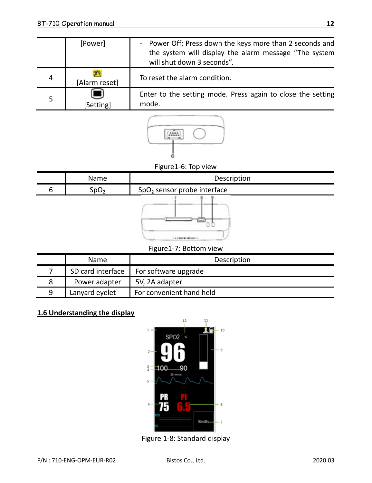|   | <b>[Power]</b> | Power Off: Press down the keys more than 2 seconds and<br>٠<br>the system will display the alarm message "The system<br>will shut down 3 seconds". |
|---|----------------|----------------------------------------------------------------------------------------------------------------------------------------------------|
| 4 | [Alarm reset]  | To reset the alarm condition.                                                                                                                      |
|   | [Setting]      | Enter to the setting mode. Press again to close the setting<br>mode.                                                                               |



# Figure1-6: Top view

| Name             | Description                             |
|------------------|-----------------------------------------|
| SpO <sub>2</sub> | SpO <sub>2</sub> sensor probe interface |
|                  |                                         |

# Figure1-7: Bottom view

| Name              | Description              |
|-------------------|--------------------------|
| SD card interface | For software upgrade     |
| Power adapter     | 5V. 2A adapter           |
| Lanyard eyelet    | For convenient hand held |

# **1.6 Understanding the display**



Figure 1-8: Standard display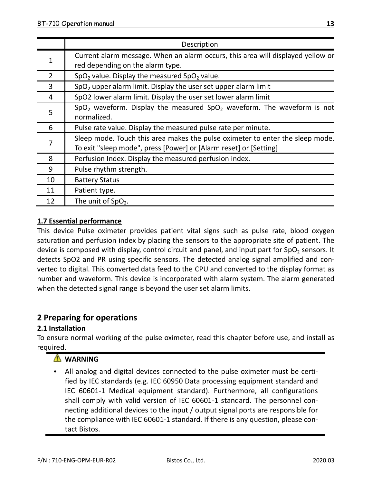|                          | Description                                                                                    |
|--------------------------|------------------------------------------------------------------------------------------------|
| 1                        | Current alarm message. When an alarm occurs, this area will displayed yellow or                |
|                          | red depending on the alarm type.                                                               |
| $\overline{\phantom{a}}$ | SpO <sub>2</sub> value. Display the measured SpO <sub>2</sub> value.                           |
| 3                        | SpO <sub>2</sub> upper alarm limit. Display the user set upper alarm limit                     |
| 4                        | SpO2 lower alarm limit. Display the user set lower alarm limit                                 |
| 5                        | SpO <sub>2</sub> waveform. Display the measured SpO <sub>2</sub> waveform. The waveform is not |
|                          | normalized.                                                                                    |
| 6                        | Pulse rate value. Display the measured pulse rate per minute.                                  |
| 7                        | Sleep mode. Touch this area makes the pulse oximeter to enter the sleep mode.                  |
|                          | To exit "sleep mode", press [Power] or [Alarm reset] or [Setting]                              |
| 8                        | Perfusion Index. Display the measured perfusion index.                                         |
| 9                        | Pulse rhythm strength.                                                                         |
| 10                       | <b>Battery Status</b>                                                                          |
| 11                       | Patient type.                                                                                  |
| 12                       | The unit of SpO <sub>2</sub> .                                                                 |

# **1.7 Essential performance**

This device Pulse oximeter provides patient vital signs such as pulse rate, blood oxygen saturation and perfusion index by placing the sensors to the appropriate site of patient. The device is composed with display, control circuit and panel, and input part for SpO<sub>2</sub> sensors. It detects SpO2 and PR using specific sensors. The detected analog signal amplified and converted to digital. This converted data feed to the CPU and converted to the display format as number and waveform. This device is incorporated with alarm system. The alarm generated when the detected signal range is beyond the user set alarm limits.

## **2 Preparing for operations**

## **2.1 Installation**

To ensure normal working of the pulse oximeter, read this chapter before use, and install as required.

## **WARNING**

All analog and digital devices connected to the pulse oximeter must be certified by IEC standards (e.g. IEC 60950 Data processing equipment standard and IEC 60601-1 Medical equipment standard). Furthermore, all configurations shall comply with valid version of IEC 60601-1 standard. The personnel connecting additional devices to the input / output signal ports are responsible for the compliance with IEC 60601-1 standard. If there is any question, please contact Bistos.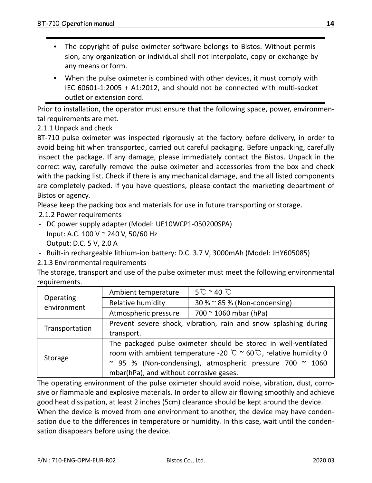- The copyright of pulse oximeter software belongs to Bistos. Without permission, any organization or individual shall not interpolate, copy or exchange by any means or form.
- When the pulse oximeter is combined with other devices, it must comply with IEC 60601-1:2005 + A1:2012, and should not be connected with multi-socket outlet or extension cord.

Prior to installation, the operator must ensure that the following space, power, environmental requirements are met.

2.1.1 Unpack and check

BT-710 pulse oximeter was inspected rigorously at the factory before delivery, in order to avoid being hit when transported, carried out careful packaging. Before unpacking, carefully inspect the package. If any damage, please immediately contact the Bistos. Unpack in the correct way, carefully remove the pulse oximeter and accessories from the box and check with the packing list. Check if there is any mechanical damage, and the all listed components are completely packed. If you have questions, please contact the marketing department of Bistos or agency.

Please keep the packing box and materials for use in future transporting or storage.

2.1.2 Power requirements

- DC power supply adapter (Model: UE10WCP1-050200SPA) Input: A.C. 100 V ~ 240 V, 50/60 Hz Output: D.C. 5 V, 2.0 A
- Built-in rechargeable lithium-ion battery: D.C. 3.7 V, 3000mAh (Model: JHY605085)
- 2.1.3 Environmental requirements

The storage, transport and use of the pulse oximeter must meet the following environmental requirements.

| Operating      | Ambient temperature                                                                                                                                    | $5^{\circ}$ C ~ 40 $^{\circ}$ C |  |
|----------------|--------------------------------------------------------------------------------------------------------------------------------------------------------|---------------------------------|--|
| environment    | Relative humidity                                                                                                                                      | 30 % ~ 85 % (Non-condensing)    |  |
|                | Atmospheric pressure                                                                                                                                   | 700 ~ 1060 mbar (hPa)           |  |
| Transportation | Prevent severe shock, vibration, rain and snow splashing during                                                                                        |                                 |  |
|                | transport.                                                                                                                                             |                                 |  |
|                | The packaged pulse oximeter should be stored in well-ventilated<br>room with ambient temperature -20 $\degree$ C ~ 60 $\degree$ C, relative humidity 0 |                                 |  |
| Storage        | ~ 95 % (Non-condensing), atmospheric pressure 700 $\sim$ 1060                                                                                          |                                 |  |
|                | mbar(hPa), and without corrosive gases.                                                                                                                |                                 |  |

The operating environment of the pulse oximeter should avoid noise, vibration, dust, corrosive or flammable and explosive materials. In order to allow air flowing smoothly and achieve good heat dissipation, at least 2 inches (5cm) clearance should be kept around the device.

When the device is moved from one environment to another, the device may have condensation due to the differences in temperature or humidity. In this case, wait until the condensation disappears before using the device.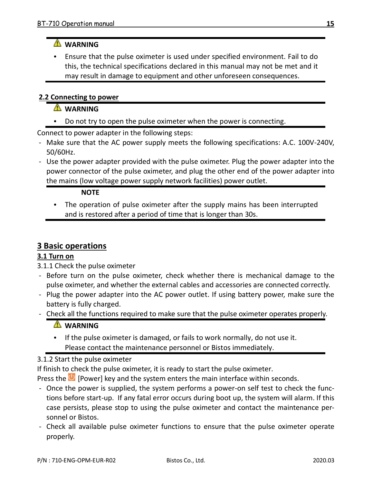## **WARNING**

• Ensure that the pulse oximeter is used under specified environment. Fail to do this, the technical specifications declared in this manual may not be met and it may result in damage to equipment and other unforeseen consequences.

#### **2.2 Connecting to power**

# **WARNING**

• Do not try to open the pulse oximeter when the power is connecting.

Connect to power adapter in the following steps:

- Make sure that the AC power supply meets the following specifications: A.C. 100V-240V, 50/60Hz.
- Use the power adapter provided with the pulse oximeter. Plug the power adapter into the power connector of the pulse oximeter, and plug the other end of the power adapter into the mains (low voltage power supply network facilities) power outlet.

#### **NOTE**

• The operation of pulse oximeter after the supply mains has been interrupted and is restored after a period of time that is longer than 30s.

# **3 Basic operations**

## **3.1 Turn on**

3.1.1 Check the pulse oximeter

- Before turn on the pulse oximeter, check whether there is mechanical damage to the pulse oximeter, and whether the external cables and accessories are connected correctly.
- Plug the power adapter into the AC power outlet. If using battery power, make sure the battery is fully charged.
- Check all the functions required to make sure that the pulse oximeter operates properly.

# **WARNING**

• If the pulse oximeter is damaged, or fails to work normally, do not use it. Please contact the maintenance personnel or Bistos immediately.

#### 3.1.2 Start the pulse oximeter

If finish to check the pulse oximeter, it is ready to start the pulse oximeter.

Press the **[Power]** key and the system enters the main interface within seconds.

- Once the power is supplied, the system performs a power-on self test to check the functions before start-up. If any fatal error occurs during boot up, the system will alarm. If this case persists, please stop to using the pulse oximeter and contact the maintenance personnel or Bistos.
- Check all available pulse oximeter functions to ensure that the pulse oximeter operate properly.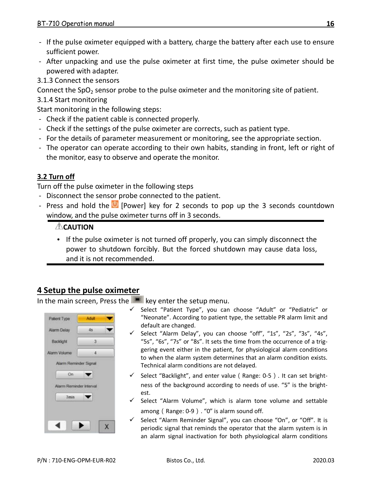- If the pulse oximeter equipped with a battery, charge the battery after each use to ensure sufficient power.
- After unpacking and use the pulse oximeter at first time, the pulse oximeter should be powered with adapter.

3.1.3 Connect the sensors

Connect the SpO<sub>2</sub> sensor probe to the pulse oximeter and the monitoring site of patient.

3.1.4 Start monitoring

Start monitoring in the following steps:

- Check if the patient cable is connected properly.
- Check if the settings of the pulse oximeter are corrects, such as patient type.
- For the details of parameter measurement or monitoring, see the appropriate section.
- The operator can operate according to their own habits, standing in front, left or right of the monitor, easy to observe and operate the monitor.

# **3.2 Turn off**

Turn off the pulse oximeter in the following steps

- Disconnect the sensor probe connected to the patient.
- Press and hold the [Power] key for 2 seconds to pop up the 3 seconds countdown window, and the pulse oximeter turns off in 3 seconds.

#### **CAUTION**

• If the pulse oximeter is not turned off properly, you can simply disconnect the power to shutdown forcibly. But the forced shutdown may cause data loss, and it is not recommended.

# **4 Setup the pulse oximeter**

In the main screen, Press the  $\blacksquare$  key enter the setup menu.



- $\checkmark$  Select "Patient Type", you can choose "Adult" or "Pediatric" or "Neonate". According to patient type, the settable PR alarm limit and default are changed.
- $\checkmark$  Select "Alarm Delay", you can choose "off", "1s", "2s", "3s", "4s", "5s", "6s", "7s" or "8s". It sets the time from the occurrence of a triggering event either in the patient, for physiological alarm conditions to when the alarm system determines that an alarm condition exists. Technical alarm conditions are not delayed.
- $\checkmark$  Select "Backlight", and enter value (Range: 0-5). It can set brightness of the background according to needs of use. "5" is the brightest.
- $\checkmark$  Select "Alarm Volume", which is alarm tone volume and settable among (Range: 0-9). "0" is alarm sound off.
- Select "Alarm Reminder Signal", you can choose "On", or "Off". It is periodic signal that reminds the operator that the alarm system is in an alarm signal inactivation for both physiological alarm conditions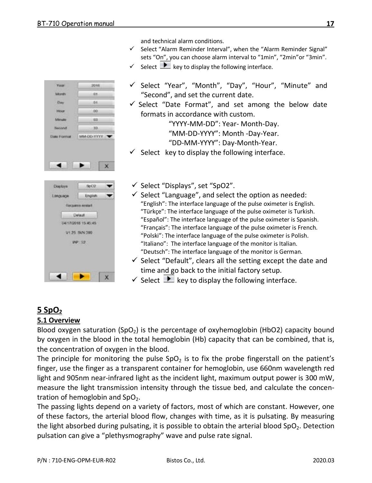

and technical alarm conditions.

- $\checkmark$  Select "Alarm Reminder Interval", when the "Alarm Reminder Signal" sets "On", you can choose alarm interval to "1min", "2min"or "3min".
- $S_{\text{short}}$   $\blacktriangleright$  key to display the following interface.
- Select "Year", "Month", "Day", "Hour", "Minute" and "Second", and set the current date.
- $\checkmark$  Select "Date Format", and set among the below date formats in accordance with custom.

"YYYY-MM-DD": Year- Month-Day. "MM-DD-YYYY": Month -Day-Year. "DD-MM-YYYY": Day-Month-Year.

 $\checkmark$  Select key to display the following interface.

|                  | English             |  |
|------------------|---------------------|--|
| <b>Folder</b>    |                     |  |
| ٠<br>Detaut<br>ı |                     |  |
|                  | 04/17/2018 15:45:45 |  |
|                  | V1.25 SVN 399       |  |
| <b>PERSON</b>    | WP 52               |  |
|                  |                     |  |
|                  |                     |  |
|                  |                     |  |

- Select "Displays", set "SpO2".
- $\checkmark$  Select "Language", and select the option as needed: "English": The interface language of the pulse oximeter is English. "Türkçe": The interface language of the pulse oximeter is Turkish. "Español": The interface language of the pulse oximeter is Spanish. "Français": The interface language of the pulse oximeter is French. "Polski": The interface language of the pulse oximeter is Polish. "Italiano": The interface language of the monitor is Italian. "Deutsch": The interface language of the monitor is German.
- $\checkmark$  Select "Default", clears all the setting except the date and time and go back to the initial factory setup.
- $\checkmark$  Select  $\blacktriangleright$  key to display the following interface.

# **5 SpO2**

#### **5.1 Overview**

Blood oxygen saturation  $(SpO<sub>2</sub>)$  is the percentage of oxyhemoglobin (HbO2) capacity bound by oxygen in the blood in the total hemoglobin (Hb) capacity that can be combined, that is, the concentration of oxygen in the blood.

The principle for monitoring the pulse  $SpO<sub>2</sub>$  is to fix the probe fingerstall on the patient's finger, use the finger as a transparent container for hemoglobin, use 660nm wavelength red light and 905nm near-infrared light as the incident light, maximum output power is 300 mW, measure the light transmission intensity through the tissue bed, and calculate the concentration of hemoglobin and SpO<sub>2</sub>.

The passing lights depend on a variety of factors, most of which are constant. However, one of these factors, the arterial blood flow, changes with time, as it is pulsating. By measuring the light absorbed during pulsating, it is possible to obtain the arterial blood SpO<sub>2</sub>. Detection pulsation can give a "plethysmography" wave and pulse rate signal.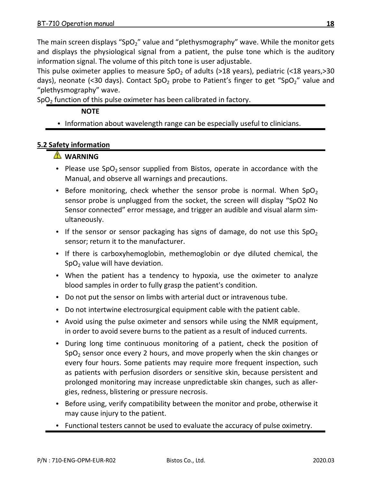The main screen displays "SpO<sub>2</sub>" value and "plethysmography" wave. While the monitor gets and displays the physiological signal from a patient, the pulse tone which is the auditory information signal. The volume of this pitch tone is user adjustable.

This pulse oximeter applies to measure SpO<sub>2</sub> of adults (>18 years), pediatric (<18 years,>30 days), neonate (<30 days). Contact SpO<sub>2</sub> probe to Patient's finger to get "SpO<sub>2</sub>" value and "plethysmography" wave.

SpO<sub>2</sub> function of this pulse oximeter has been calibrated in factory.

#### **NOTE**

• Information about wavelength range can be especially useful to clinicians.

#### **5.2 Safety information**

#### **WARNING**

- Please use SpO<sub>2</sub> sensor supplied from Bistos, operate in accordance with the Manual, and observe all warnings and precautions.
- Before monitoring, check whether the sensor probe is normal. When  $SpO<sub>2</sub>$ sensor probe is unplugged from the socket, the screen will display "SpO2 No Sensor connected" error message, and trigger an audible and visual alarm simultaneously.
- If the sensor or sensor packaging has signs of damage, do not use this  $SpO<sub>2</sub>$ sensor; return it to the manufacturer.
- If there is carboxyhemoglobin, methemoglobin or dye diluted chemical, the SpO<sub>2</sub> value will have deviation.
- When the patient has a tendency to hypoxia, use the oximeter to analyze blood samples in order to fully grasp the patient's condition.
- Do not put the sensor on limbs with arterial duct or intravenous tube.
- Do not intertwine electrosurgical equipment cable with the patient cable.
- Avoid using the pulse oximeter and sensors while using the NMR equipment, in order to avoid severe burns to the patient as a result of induced currents.
- During long time continuous monitoring of a patient, check the position of SpO<sub>2</sub> sensor once every 2 hours, and move properly when the skin changes or every four hours. Some patients may require more frequent inspection, such as patients with perfusion disorders or sensitive skin, because persistent and prolonged monitoring may increase unpredictable skin changes, such as allergies, redness, blistering or pressure necrosis.
- Before using, verify compatibility between the monitor and probe, otherwise it may cause injury to the patient.
- Functional testers cannot be used to evaluate the accuracy of pulse oximetry.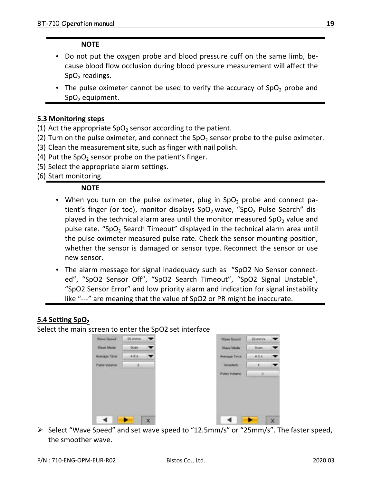#### **NOTE**

- Do not put the oxygen probe and blood pressure cuff on the same limb, because blood flow occlusion during blood pressure measurement will affect the SpO<sub>2</sub> readings.
- The pulse oximeter cannot be used to verify the accuracy of  $5pO<sub>2</sub>$  probe and  $SpO<sub>2</sub>$  equipment.

## **5.3 Monitoring steps**

 $(1)$  Act the appropriate SpO<sub>2</sub> sensor according to the patient.

- $(2)$  Turn on the pulse oximeter, and connect the SpO<sub>2</sub> sensor probe to the pulse oximeter.
- (3) Clean the measurement site, such as finger with nail polish.
- (4) Put the SpO<sub>2</sub> sensor probe on the patient's finger.
- (5) Select the appropriate alarm settings.
- (6) Start monitoring.

## **NOTE**

- When you turn on the pulse oximeter, plug in SpO<sub>2</sub> probe and connect patient's finger (or toe), monitor displays SpO<sub>2</sub> wave, "SpO<sub>2</sub> Pulse Search" displayed in the technical alarm area until the monitor measured SpO<sub>2</sub> value and pulse rate. "SpO2 Search Timeout" displayed in the technical alarm area until the pulse oximeter measured pulse rate. Check the sensor mounting position, whether the sensor is damaged or sensor type. Reconnect the sensor or use new sensor.
- The alarm message for signal inadequacy such as "SpO2 No Sensor connected", "SpO2 Sensor Off", "SpO2 Search Timeout", "SpO2 Signal Unstable", "SpO2 Sensor Error" and low priority alarm and indication for signal instability like "---" are meaning that the value of SpO2 or PR might be inaccurate.

Zimmi  $488$  $\mathbf{r}$ 

#### **5.4** Setting SpO<sub>2</sub>

Select the main screen to enter the SpO2 set interface

| Warre Speed.         | 25 mm/s<br>n |   | West Speed            |
|----------------------|--------------|---|-----------------------|
| Ways Mode            | <b>DOM</b>   | ▼ | Ways Mode             |
| <b>Automan Tetro</b> | 481          |   | <b>Average Time</b>   |
| Putes Volume : [1]   | 35           |   |                       |
|                      |              |   | <b>Futus Villatio</b> |
|                      |              |   |                       |
|                      |              |   |                       |
|                      |              |   |                       |
|                      |              |   |                       |
|                      |              |   |                       |
|                      |              | × |                       |

 $\triangleright$  Select "Wave Speed" and set wave speed to "12.5mm/s" or "25mm/s". The faster speed, the smoother wave.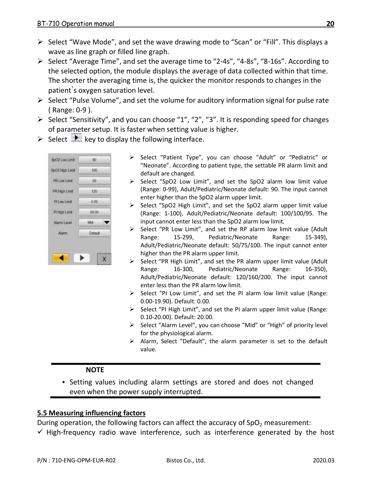- $\geq$  Select "Wave Mode", and set the wave drawing mode to "Scan" or "Fill". This displays a wave as line graph or filled line graph.
- $\triangleright$  Select "Average Time", and set the average time to "2-4s", "4-8s", "8-16s". According to the selected option, the module displays the average of data collected within that time. The shorter the averaging time is, the quicker the monitor responds to changes in the patient's oxygen saturation level.
- $\triangleright$  Select "Pulse Volume", and set the volume for auditory information signal for pulse rate ( Range: 0-9 ).
- $\geq$  Select "Sensitivity", and you can choose "1", "2", "3". It is responding speed for changes of parameter setup. It is faster when setting value is higher.
- $\triangleright$  Select  $\perp$  key to display the following interface.

| Alarm           | Detault |  |
|-----------------|---------|--|
| Alarm Level     | Mid     |  |
| Pl High Limit   | 20.00   |  |
| Pi Low Limit    | 0.00    |  |
| PR High Limit   | 120     |  |
| PR Low Limit    | 50      |  |
| SpO2 High Limit | 100     |  |
| SoO2 Low Limit  | 90      |  |

- Select "Patient Type", you can choose "Adult" or "Pediatric" or "Neonate". According to patient type, the settable PR alarm limit and default are changed.
- Select "SpO2 Low Limit", and set the SpO2 alarm low limit value (Range: 0-99), Adult/Pediatric/Neonate default: 90. The input cannot enter higher than the SpO2 alarm upper limit.
- Select "SpO2 High Limit", and set the SpO2 alarm upper limit value (Range: 1-100), Adult/Pediatric/Neonate default: 100/100/95. The input cannot enter less than the SpO2 alarm low limit.
- $\triangleright$  Select "PR Low Limit", and set the RP alarm low limit value (Adult Range: 15-299, Pediatric/Neonate Range: 15-349), Adult/Pediatric/Neonate default: 50/75/100. The input cannot enter higher than the PR alarm upper limit.
- Select "PR High Limit", and set the PR alarm upper limit value (Adult Range: 16-350), Pediatric/Neonate Range: 16-350), Pediatric/Neonate Adult/Pediatric/Neonate default: 120/160/200. The input cannot enter less than the PR alarm low limit.
- $\triangleright$  Select "PI Low Limit", and set the PI alarm low limit value (Range: 0.00-19.90). Default: 0.00.
- Select "PI High Limit", and set the PI alarm upper limit value (Range: 0.10-20.00). Default: 20.00.
- Select "Alarm Level", you can choose "Mid" or "High" of priority level for the physiological alarm.
- Alarm, Select "Default", the alarm parameter is set to the default value.

#### **NOTE**

• Setting values including alarm settings are stored and does not changed even when the power supply interrupted.

## **5.5 Measuring influencing factors**

During operation, the following factors can affect the accuracy of SpO<sub>2</sub> measurement:

 $\checkmark$  High-frequency radio wave interference, such as interference generated by the host

**20**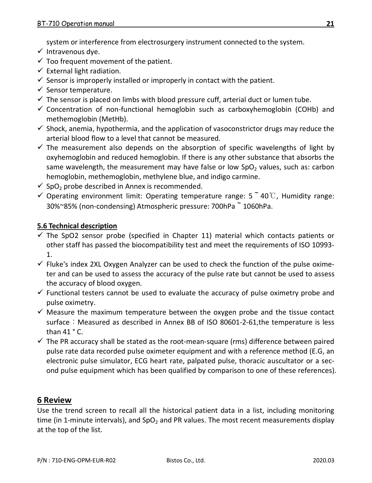system or interference from electrosurgery instrument connected to the system.

- $\checkmark$  Intravenous dve.
- $\checkmark$  Too frequent movement of the patient.
- $\checkmark$  External light radiation.
- $\checkmark$  Sensor is improperly installed or improperly in contact with the patient.
- $\checkmark$  Sensor temperature.
- $\checkmark$  The sensor is placed on limbs with blood pressure cuff, arterial duct or lumen tube.
- $\checkmark$  Concentration of non-functional hemoglobin such as carboxyhemoglobin (COHb) and methemoglobin (MetHb).
- $\checkmark$  Shock, anemia, hypothermia, and the application of vasoconstrictor drugs may reduce the arterial blood flow to a level that cannot be measured.
- $\checkmark$  The measurement also depends on the absorption of specific wavelengths of light by oxyhemoglobin and reduced hemoglobin. If there is any other substance that absorbs the same wavelength, the measurement may have false or low SpO<sub>2</sub> values, such as: carbon hemoglobin, methemoglobin, methylene blue, and indigo carmine.
- $\checkmark$  SpO<sub>2</sub> probe described in Annex is recommended.
- Operating environment limit: Operating temperature range: 5~40℃, Humidity range: 30%~85% (non-condensing) Atmospheric pressure: 700hPa~1060hPa.

#### **5.6 Technical description**

- $\checkmark$  The SpO2 sensor probe (specified in Chapter 11) material which contacts patients or other staff has passed the biocompatibility test and meet the requirements of ISO 10993- 1.
- $\checkmark$  Fluke's index 2XL Oxygen Analyzer can be used to check the function of the pulse oximeter and can be used to assess the accuracy of the pulse rate but cannot be used to assess the accuracy of blood oxygen.
- $\checkmark$  Functional testers cannot be used to evaluate the accuracy of pulse oximetry probe and pulse oximetry.
- $\checkmark$  Measure the maximum temperature between the oxygen probe and the tissue contact surface: Measured as described in Annex BB of ISO 80601-2-61, the temperature is less than  $41 °C$
- $\checkmark$  The PR accuracy shall be stated as the root-mean-square (rms) difference between paired pulse rate data recorded pulse oximeter equipment and with a reference method (E.G, an electronic pulse simulator, ECG heart rate, palpated pulse, thoracic auscultator or a second pulse equipment which has been qualified by comparison to one of these references).

## **6 Review**

Use the trend screen to recall all the historical patient data in a list, including monitoring time (in 1-minute intervals), and SpO<sub>2</sub> and PR values. The most recent measurements display at the top of the list.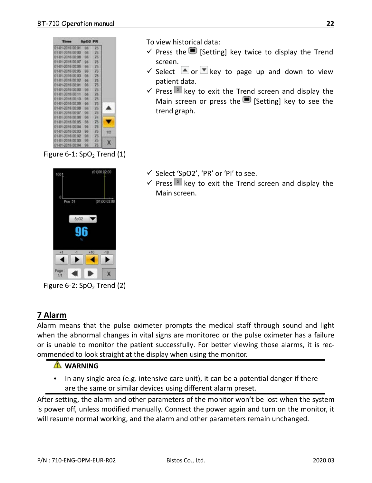

Figure 6-1: SpO<sub>2</sub> Trend (1)

meyengene  $Pra-2t$ ٠

Figure 6-2: SpO<sub>2</sub> Trend (2)

# **7 Alarm**

Alarm means that the pulse oximeter prompts the medical staff through sound and light when the abnormal changes in vital signs are monitored or the pulse oximeter has a failure or is unable to monitor the patient successfully. For better viewing those alarms, it is recommended to look straight at the display when using the monitor.

# **WARNING**

In any single area (e.g. intensive care unit), it can be a potential danger if there are the same or similar devices using different alarm preset.

After setting, the alarm and other parameters of the monitor won't be lost when the system is power off, unless modified manually. Connect the power again and turn on the monitor, it will resume normal working, and the alarm and other parameters remain unchanged.

To view historical data:

- $\checkmark$  Press the  $\textcircled{\tiny{\textsf{B}}}$  [Setting] key twice to display the Trend screen.
- $\checkmark$  Select  $\checkmark$  or  $\checkmark$  key to page up and down to view patient data.
- $\checkmark$  Press  $\checkmark$  key to exit the Trend screen and display the Main screen or press the  $\blacksquare$  [Setting] key to see the trend graph.

- Select 'SpO2', 'PR' or 'PI' to see.
- $\checkmark$  Press  $\checkmark$  key to exit the Trend screen and display the Main screen.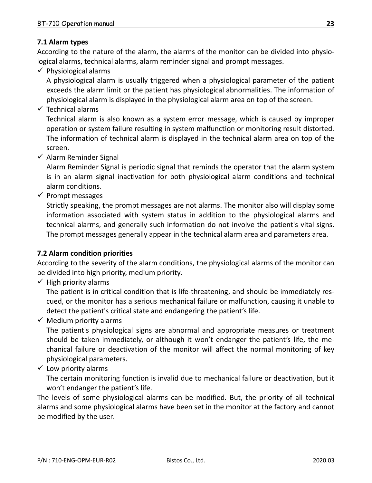## **7.1 Alarm types**

According to the nature of the alarm, the alarms of the monitor can be divided into physiological alarms, technical alarms, alarm reminder signal and prompt messages.

 $\checkmark$  Physiological alarms

A physiological alarm is usually triggered when a physiological parameter of the patient exceeds the alarm limit or the patient has physiological abnormalities. The information of physiological alarm is displayed in the physiological alarm area on top of the screen.

Technical alarms

Technical alarm is also known as a system error message, which is caused by improper operation or system failure resulting in system malfunction or monitoring result distorted. The information of technical alarm is displayed in the technical alarm area on top of the screen.

 $\checkmark$  Alarm Reminder Signal

Alarm Reminder Signal is periodic signal that reminds the operator that the alarm system is in an alarm signal inactivation for both physiological alarm conditions and technical alarm conditions.

 $\checkmark$  Prompt messages

Strictly speaking, the prompt messages are not alarms. The monitor also will display some information associated with system status in addition to the physiological alarms and technical alarms, and generally such information do not involve the patient's vital signs. The prompt messages generally appear in the technical alarm area and parameters area.

#### **7.2 Alarm condition priorities**

According to the severity of the alarm conditions, the physiological alarms of the monitor can be divided into high priority, medium priority.

 $\checkmark$  High priority alarms

The patient is in critical condition that is life-threatening, and should be immediately rescued, or the monitor has a serious mechanical failure or malfunction, causing it unable to detect the patient's critical state and endangering the patient's life.

 $\checkmark$  Medium priority alarms

The patient's physiological signs are abnormal and appropriate measures or treatment should be taken immediately, or although it won't endanger the patient's life, the mechanical failure or deactivation of the monitor will affect the normal monitoring of key physiological parameters.

 $\checkmark$  Low priority alarms

The certain monitoring function is invalid due to mechanical failure or deactivation, but it won't endanger the patient's life.

The levels of some physiological alarms can be modified. But, the priority of all technical alarms and some physiological alarms have been set in the monitor at the factory and cannot be modified by the user.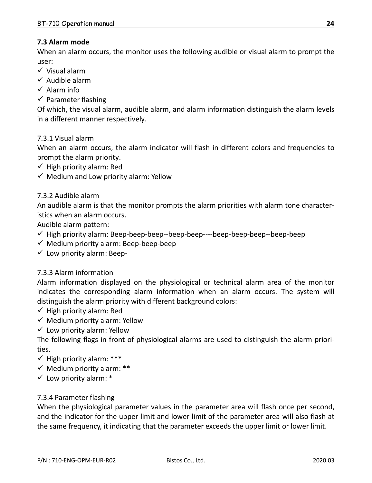## **7.3 Alarm mode**

When an alarm occurs, the monitor uses the following audible or visual alarm to prompt the user:

- $\checkmark$  Visual alarm
- $\checkmark$  Audible alarm
- Alarm info
- $\checkmark$  Parameter flashing

Of which, the visual alarm, audible alarm, and alarm information distinguish the alarm levels in a different manner respectively.

#### 7.3.1 Visual alarm

When an alarm occurs, the alarm indicator will flash in different colors and frequencies to prompt the alarm priority.

- $\checkmark$  High priority alarm: Red
- Medium and Low priority alarm: Yellow

#### 7.3.2 Audible alarm

An audible alarm is that the monitor prompts the alarm priorities with alarm tone characteristics when an alarm occurs.

Audible alarm pattern:

- High priority alarm: Beep-beep-beep--beep-beep----beep-beep-beep--beep-beep
- $\checkmark$  Medium priority alarm: Beep-beep-beep
- $\checkmark$  Low priority alarm: Beep-

#### 7.3.3 Alarm information

Alarm information displayed on the physiological or technical alarm area of the monitor indicates the corresponding alarm information when an alarm occurs. The system will distinguish the alarm priority with different background colors:

 $\checkmark$  High priority alarm: Red

- $\checkmark$  Medium priority alarm: Yellow
- $\checkmark$  Low priority alarm: Yellow

The following flags in front of physiological alarms are used to distinguish the alarm priorities.

- $\checkmark$  High priority alarm: \*\*\*
- $\checkmark$  Medium priority alarm: \*\*
- $\checkmark$  Low priority alarm: \*

#### 7.3.4 Parameter flashing

When the physiological parameter values in the parameter area will flash once per second, and the indicator for the upper limit and lower limit of the parameter area will also flash at the same frequency, it indicating that the parameter exceeds the upper limit or lower limit.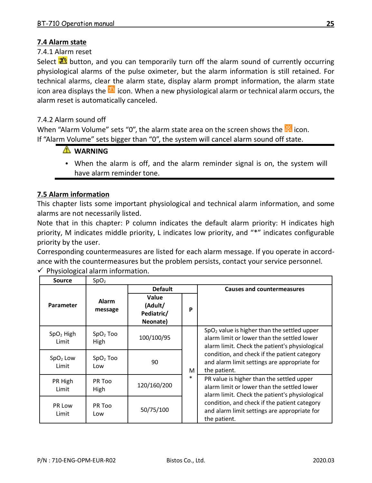#### **7.4 Alarm state**

7.4.1 Alarm reset

Select  $\overline{20}$  button, and you can temporarily turn off the alarm sound of currently occurring physiological alarms of the pulse oximeter, but the alarm information is still retained. For technical alarms, clear the alarm state, display alarm prompt information, the alarm state icon area displays the  $\frac{1}{2}$  icon. When a new physiological alarm or technical alarm occurs, the alarm reset is automatically canceled.

#### 7.4.2 Alarm sound off

When "Alarm Volume" sets "0", the alarm state area on the screen shows the icon. If "Alarm Volume" sets bigger than "0", the system will cancel alarm sound off state.

# **WARNING**

• When the alarm is off, and the alarm reminder signal is on, the system will have alarm reminder tone.

## **7.5 Alarm information**

This chapter lists some important physiological and technical alarm information, and some alarms are not necessarily listed.

Note that in this chapter: P column indicates the default alarm priority: H indicates high priority, M indicates middle priority, L indicates low priority, and "\*" indicates configurable priority by the user.

Corresponding countermeasures are listed for each alarm message. If you operate in accordance with the countermeasures but the problem persists, contact your service personnel.

| Source                         | SpO <sub>2</sub>   |                                            |         |                                                                                                                                                          |
|--------------------------------|--------------------|--------------------------------------------|---------|----------------------------------------------------------------------------------------------------------------------------------------------------------|
|                                |                    | Default                                    |         | <b>Causes and countermeasures</b>                                                                                                                        |
| Parameter                      | Alarm<br>message   | Value<br>(Adult/<br>Pediatric/<br>Neonate) | P       |                                                                                                                                                          |
| $SpO2$ High<br>I imit          | $SpO2$ Too<br>High | 100/100/95                                 |         | SpO <sub>2</sub> value is higher than the settled upper<br>alarm limit or lower than the settled lower<br>alarm limit. Check the patient's physiological |
| SpO <sub>2</sub> Low<br>I imit | $SpO2$ Too<br>l ow | 90<br>M                                    |         | condition, and check if the patient category<br>and alarm limit settings are appropriate for<br>the patient.                                             |
| PR High<br>I imit              | PR Too<br>High     | 120/160/200                                | $\star$ | PR value is higher than the settled upper<br>alarm limit or lower than the settled lower<br>alarm limit. Check the patient's physiological               |
| PRIOW<br>I imit                | PR Too<br>I ow     | 50/75/100                                  |         | condition, and check if the patient category<br>and alarm limit settings are appropriate for<br>the patient.                                             |

 $\checkmark$  Physiological alarm information.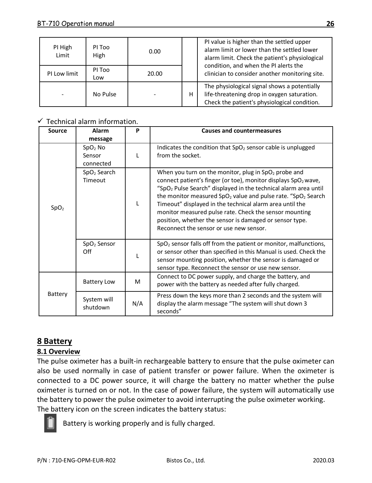| PI High<br>Limit | PI Too<br>High | 0.00  |   | PI value is higher than the settled upper<br>alarm limit or lower than the settled lower<br>alarm limit. Check the patient's physiological<br>condition, and when the PI alerts the |  |
|------------------|----------------|-------|---|-------------------------------------------------------------------------------------------------------------------------------------------------------------------------------------|--|
| PI Low limit     | PI Too<br>l ow | 20.00 |   | clinician to consider another monitoring site.                                                                                                                                      |  |
| ۰                | No Pulse       |       | н | The physiological signal shows a potentially<br>life-threatening drop in oxygen saturation.<br>Check the patient's physiological condition.                                         |  |

## Technical alarm information.

| Source           | Alarm                                      | P   | <b>Causes and countermeasures</b>                                                                                                                                                                                                                                                                                                                                                                                                                                                                                                     |
|------------------|--------------------------------------------|-----|---------------------------------------------------------------------------------------------------------------------------------------------------------------------------------------------------------------------------------------------------------------------------------------------------------------------------------------------------------------------------------------------------------------------------------------------------------------------------------------------------------------------------------------|
|                  | message                                    |     |                                                                                                                                                                                                                                                                                                                                                                                                                                                                                                                                       |
|                  | SpO <sub>2</sub> No<br>Sensor<br>connected |     | Indicates the condition that SpO <sub>2</sub> sensor cable is unplugged<br>from the socket.                                                                                                                                                                                                                                                                                                                                                                                                                                           |
| SpO <sub>2</sub> | SpO <sub>2</sub> Search<br>Timeout         | п   | When you turn on the monitor, plug in SpO <sub>2</sub> probe and<br>connect patient's finger (or toe), monitor displays SpO2 wave,<br>"SpO <sub>2</sub> Pulse Search" displayed in the technical alarm area until<br>the monitor measured SpO <sub>2</sub> value and pulse rate. "SpO <sub>2</sub> Search<br>Timeout" displayed in the technical alarm area until the<br>monitor measured pulse rate. Check the sensor mounting<br>position, whether the sensor is damaged or sensor type.<br>Reconnect the sensor or use new sensor. |
|                  | SpO <sub>2</sub> Sensor<br>Off             |     | SpO <sub>2</sub> sensor falls off from the patient or monitor, malfunctions,<br>or sensor other than specified in this Manual is used. Check the<br>sensor mounting position, whether the sensor is damaged or<br>sensor type. Reconnect the sensor or use new sensor.                                                                                                                                                                                                                                                                |
|                  | <b>Battery Low</b>                         | M   | Connect to DC power supply, and charge the battery, and<br>power with the battery as needed after fully charged.                                                                                                                                                                                                                                                                                                                                                                                                                      |
| Battery          | System will<br>shutdown                    | N/A | Press down the keys more than 2 seconds and the system will<br>display the alarm message "The system will shut down 3<br>seconds"                                                                                                                                                                                                                                                                                                                                                                                                     |

## **8 Battery**

## **8.1 Overview**

The pulse oximeter has a built-in rechargeable battery to ensure that the pulse oximeter can also be used normally in case of patient transfer or power failure. When the oximeter is connected to a DC power source, it will charge the battery no matter whether the pulse oximeter is turned on or not. In the case of power failure, the system will automatically use the battery to power the pulse oximeter to avoid interrupting the pulse oximeter working. The battery icon on the screen indicates the battery status:



Battery is working properly and is fully charged.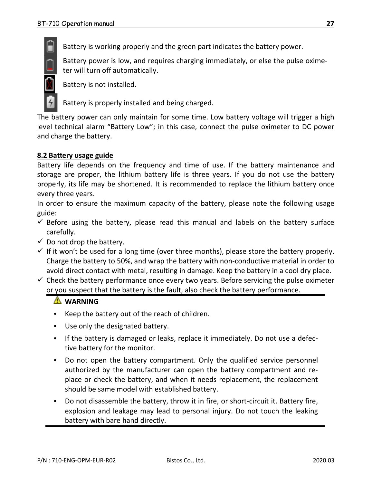Battery is working properly and the green part indicates the battery power.

Battery power is low, and requires charging immediately, or else the pulse oximeter will turn off automatically.

Battery is not installed.



Battery is properly installed and being charged.

The battery power can only maintain for some time. Low battery voltage will trigger a high level technical alarm "Battery Low"; in this case, connect the pulse oximeter to DC power and charge the battery.

## **8.2 Battery usage guide**

Battery life depends on the frequency and time of use. If the battery maintenance and storage are proper, the lithium battery life is three years. If you do not use the battery properly, its life may be shortened. It is recommended to replace the lithium battery once every three years.

In order to ensure the maximum capacity of the battery, please note the following usage guide:

- $\checkmark$  Before using the battery, please read this manual and labels on the battery surface carefully.
- $\checkmark$  Do not drop the battery.
- $\checkmark$  If it won't be used for a long time (over three months), please store the battery properly. Charge the battery to 50%, and wrap the battery with non-conductive material in order to avoid direct contact with metal, resulting in damage. Keep the battery in a cool dry place.
- $\checkmark$  Check the battery performance once every two years. Before servicing the pulse oximeter or you suspect that the battery is the fault, also check the battery performance.

## **WARNING**

- Keep the battery out of the reach of children.
- Use only the designated battery.
- If the battery is damaged or leaks, replace it immediately. Do not use a defective battery for the monitor.
- Do not open the battery compartment. Only the qualified service personnel authorized by the manufacturer can open the battery compartment and replace or check the battery, and when it needs replacement, the replacement should be same model with established battery.
- Do not disassemble the battery, throw it in fire, or short-circuit it. Battery fire, explosion and leakage may lead to personal injury. Do not touch the leaking battery with bare hand directly.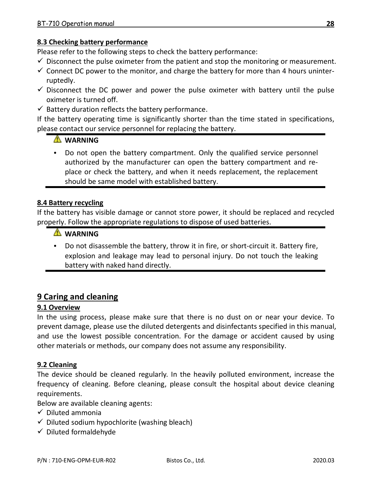#### **8.3 Checking battery performance**

Please refer to the following steps to check the battery performance:

- $\checkmark$  Disconnect the pulse oximeter from the patient and stop the monitoring or measurement.
- $\checkmark$  Connect DC power to the monitor, and charge the battery for more than 4 hours uninterruptedly.
- $\checkmark$  Disconnect the DC power and power the pulse oximeter with battery until the pulse oximeter is turned off.
- $\checkmark$  Battery duration reflects the battery performance.

If the battery operating time is significantly shorter than the time stated in specifications, please contact our service personnel for replacing the battery.

# **WARNING**

• Do not open the battery compartment. Only the qualified service personnel authorized by the manufacturer can open the battery compartment and replace or check the battery, and when it needs replacement, the replacement should be same model with established battery.

# **8.4 Battery recycling**

If the battery has visible damage or cannot store power, it should be replaced and recycled properly. Follow the appropriate regulations to dispose of used batteries.

# **WARNING**

• Do not disassemble the battery, throw it in fire, or short-circuit it. Battery fire, explosion and leakage may lead to personal injury. Do not touch the leaking battery with naked hand directly.

## **9 Caring and cleaning**

#### **9.1 Overview**

In the using process, please make sure that there is no dust on or near your device. To prevent damage, please use the diluted detergents and disinfectants specified in this manual, and use the lowest possible concentration. For the damage or accident caused by using other materials or methods, our company does not assume any responsibility.

#### **9.2 Cleaning**

The device should be cleaned regularly. In the heavily polluted environment, increase the frequency of cleaning. Before cleaning, please consult the hospital about device cleaning requirements.

Below are available cleaning agents:

- $\checkmark$  Diluted ammonia
- $\checkmark$  Diluted sodium hypochlorite (washing bleach)
- $\checkmark$  Diluted formaldehyde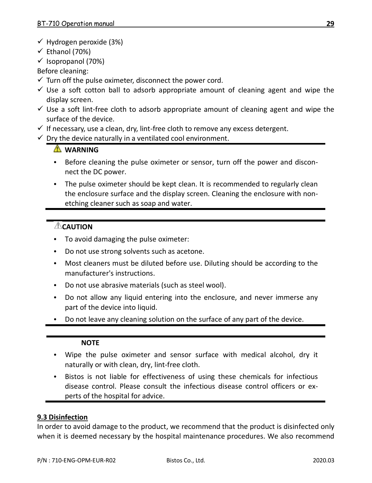- Hydrogen peroxide (3%)
- $\checkmark$  Ethanol (70%)
- $\checkmark$  Isopropanol (70%)

Before cleaning:

- $\checkmark$  Turn off the pulse oximeter, disconnect the power cord.
- $\checkmark$  Use a soft cotton ball to adsorb appropriate amount of cleaning agent and wipe the display screen.
- $\checkmark$  Use a soft lint-free cloth to adsorb appropriate amount of cleaning agent and wipe the surface of the device.
- $\checkmark$  If necessary, use a clean, dry, lint-free cloth to remove any excess detergent.
- $\checkmark$  Dry the device naturally in a ventilated cool environment.

# **WARNING**

- Before cleaning the pulse oximeter or sensor, turn off the power and disconnect the DC power.
- The pulse oximeter should be kept clean. It is recommended to regularly clean the enclosure surface and the display screen. Cleaning the enclosure with nonetching cleaner such as soap and water.

# **ACAUTION**

- To avoid damaging the pulse oximeter:
- Do not use strong solvents such as acetone.
- Most cleaners must be diluted before use. Diluting should be according to the manufacturer's instructions.
- Do not use abrasive materials (such as steel wool).
- Do not allow any liquid entering into the enclosure, and never immerse any part of the device into liquid.
- Do not leave any cleaning solution on the surface of any part of the device.

#### **NOTE**

- Wipe the pulse oximeter and sensor surface with medical alcohol, dry it naturally or with clean, dry, lint-free cloth.
- Bistos is not liable for effectiveness of using these chemicals for infectious disease control. Please consult the infectious disease control officers or experts of the hospital for advice.

## **9.3 Disinfection**

In order to avoid damage to the product, we recommend that the product is disinfected only when it is deemed necessary by the hospital maintenance procedures. We also recommend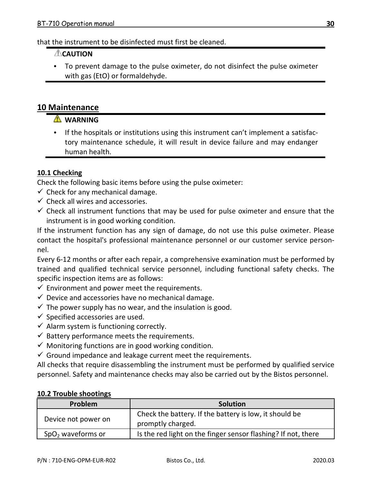that the instrument to be disinfected must first be cleaned.

## **CAUTION**

• To prevent damage to the pulse oximeter, do not disinfect the pulse oximeter with gas (EtO) or formaldehyde.

#### **10 Maintenance**

# **WARNING**

• If the hospitals or institutions using this instrument can't implement a satisfactory maintenance schedule, it will result in device failure and may endanger human health.

## **10.1 Checking**

Check the following basic items before using the pulse oximeter:

- $\checkmark$  Check for any mechanical damage.
- $\checkmark$  Check all wires and accessories.
- $\checkmark$  Check all instrument functions that may be used for pulse oximeter and ensure that the instrument is in good working condition.

If the instrument function has any sign of damage, do not use this pulse oximeter. Please contact the hospital's professional maintenance personnel or our customer service personnel.

Every 6-12 months or after each repair, a comprehensive examination must be performed by trained and qualified technical service personnel, including functional safety checks. The specific inspection items are as follows:

- $\checkmark$  Environment and power meet the requirements.
- $\checkmark$  Device and accessories have no mechanical damage.
- $\checkmark$  The power supply has no wear, and the insulation is good.
- $\checkmark$  Specified accessories are used.
- $\checkmark$  Alarm system is functioning correctly.
- $\checkmark$  Battery performance meets the requirements.
- $\checkmark$  Monitoring functions are in good working condition.
- $\checkmark$  Ground impedance and leakage current meet the requirements.

All checks that require disassembling the instrument must be performed by qualified service personnel. Safety and maintenance checks may also be carried out by the Bistos personnel.

| Problem                       | Solution                                                                    |
|-------------------------------|-----------------------------------------------------------------------------|
| Device not power on           | Check the battery. If the battery is low, it should be<br>promptly charged. |
| SpO <sub>2</sub> waveforms or | Is the red light on the finger sensor flashing? If not, there               |

#### **10.2 Trouble shootings**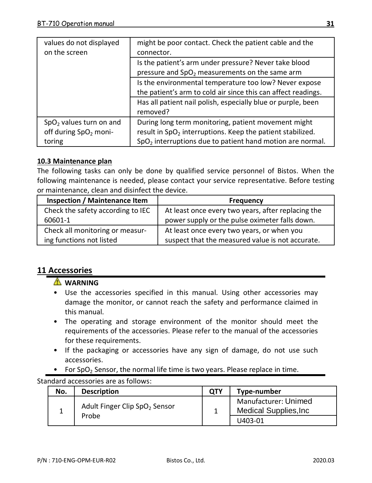| values do not displayed<br>on the screen                                           | might be poor contact. Check the patient cable and the<br>connector.                                                                                                                                   |
|------------------------------------------------------------------------------------|--------------------------------------------------------------------------------------------------------------------------------------------------------------------------------------------------------|
|                                                                                    | Is the patient's arm under pressure? Never take blood<br>pressure and SpO <sub>2</sub> measurements on the same arm                                                                                    |
|                                                                                    | Is the environmental temperature too low? Never expose<br>the patient's arm to cold air since this can affect readings.                                                                                |
|                                                                                    | Has all patient nail polish, especially blue or purple, been<br>removed?                                                                                                                               |
| SpO <sub>2</sub> values turn on and<br>off during SpO <sub>2</sub> moni-<br>toring | During long term monitoring, patient movement might<br>result in SpO <sub>2</sub> interruptions. Keep the patient stabilized.<br>SpO <sub>2</sub> interruptions due to patient hand motion are normal. |

#### **10.3 Maintenance plan**

The following tasks can only be done by qualified service personnel of Bistos. When the following maintenance is needed, please contact your service representative. Before testing or maintenance, clean and disinfect the device.

| Inspection / Maintenance Item     | Frequency                                          |
|-----------------------------------|----------------------------------------------------|
| Check the safety according to IEC | At least once every two years, after replacing the |
| 60601-1                           | power supply or the pulse oximeter falls down.     |
| Check all monitoring or measur-   | At least once every two years, or when you         |
| ing functions not listed          | suspect that the measured value is not accurate.   |

# **11 Accessories**

# **WARNING**

- Use the accessories specified in this manual. Using other accessories may damage the monitor, or cannot reach the safety and performance claimed in this manual.
- The operating and storage environment of the monitor should meet the requirements of the accessories. Please refer to the manual of the accessories for these requirements.
- If the packaging or accessories have any sign of damage, do not use such accessories.
- For SpO<sub>2</sub> Sensor, the normal life time is two years. Please replace in time.

Standard accessories are as follows:

| No. | <b>Description</b>                                 | OTY | Type-number                                  |
|-----|----------------------------------------------------|-----|----------------------------------------------|
|     | Adult Finger Clip SpO <sub>2</sub> Sensor<br>Probe |     | Manufacturer: Unimed<br>Medical Supplies.Inc |
|     |                                                    |     | U403-01                                      |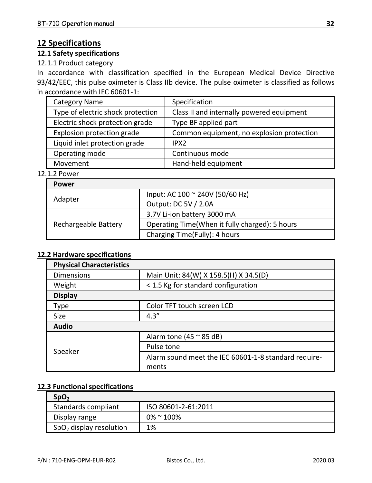# **12 Specifications**

# **12.1 Safety specifications**

## 12.1.1 Product category

In accordance with classification specified in the European Medical Device Directive 93/42/EEC, this pulse oximeter is Class IIb device. The pulse oximeter is classified as follows in accordance with IEC 60601-1:

| Category Name                     | Specification                             |
|-----------------------------------|-------------------------------------------|
| Type of electric shock protection | Class II and internally powered equipment |
| Electric shock protection grade   | Type BF applied part                      |
| Explosion protection grade        | Common equipment, no explosion protection |
| Liquid inlet protection grade     | IPX <sub>2</sub>                          |
| Operating mode                    | Continuous mode                           |
| Movement                          | Hand-held equipment                       |

#### 12.1.2 Power

| Power                |                                                |
|----------------------|------------------------------------------------|
| Adapter              | Input: AC 100 ~ 240V (50/60 Hz)                |
|                      | Output: DC 5V / 2.0A                           |
| Rechargeable Battery | 3.7V Li-ion battery 3000 mA                    |
|                      | Operating Time(When it fully charged): 5 hours |
|                      | Charging Time(Fully): 4 hours                  |

# **12.2 Hardware specifications**

| <b>Physical Characteristics</b> |                                                      |  |
|---------------------------------|------------------------------------------------------|--|
| <b>Dimensions</b>               | Main Unit: 84(W) X 158.5(H) X 34.5(D)                |  |
| Weight                          | < 1.5 Kg for standard configuration                  |  |
| Display                         |                                                      |  |
| Type                            | Color TFT touch screen LCD                           |  |
| Size                            | 4.3''                                                |  |
| Audio                           |                                                      |  |
|                                 | Alarm tone (45 $\approx$ 85 dB)                      |  |
| Speaker                         | Pulse tone                                           |  |
|                                 | Alarm sound meet the IEC 60601-1-8 standard require- |  |
|                                 | ments                                                |  |

# **12.3 Functional specifications**

| SpO <sub>2</sub>                    |                     |
|-------------------------------------|---------------------|
| Standards compliant                 | ISO 80601-2-61:2011 |
| Display range                       | $0\%$ ~ 100%        |
| SpO <sub>2</sub> display resolution | 1%                  |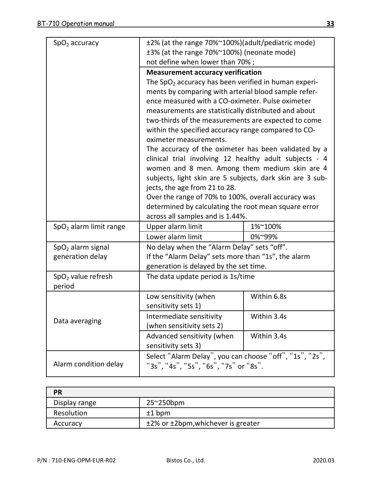| SpO <sub>2</sub> accuracy          | ±2% (at the range 70%~100%)(adult/pediatric mode)<br>±3% (at the range 70%~100%) (neonate mode)             |             |  |
|------------------------------------|-------------------------------------------------------------------------------------------------------------|-------------|--|
|                                    | not define when lower than 70%;                                                                             |             |  |
|                                    | <b>Measurement accuracy verification</b>                                                                    |             |  |
|                                    | The SpO <sub>2</sub> accuracy has been verified in human experi-                                            |             |  |
|                                    | ments by comparing with arterial blood sample refer-                                                        |             |  |
|                                    | ence measured with a CO-oximeter. Pulse oximeter                                                            |             |  |
|                                    | measurements are statistically distributed and about                                                        |             |  |
|                                    | two-thirds of the measurements are expected to come                                                         |             |  |
|                                    | within the specified accuracy range compared to CO-                                                         |             |  |
|                                    | oximeter measurements.                                                                                      |             |  |
|                                    | The accuracy of the oximeter has been validated by a                                                        |             |  |
|                                    | clinical trial involving 12 healthy adult subjects - 4                                                      |             |  |
|                                    | women and 8 men. Among them medium skin are 4                                                               |             |  |
|                                    | subjects, light skin are 5 subjects, dark skin are 3 sub-                                                   |             |  |
|                                    | jects, the age from 21 to 28.                                                                               |             |  |
|                                    | Over the range of 70% to 100%, overall accuracy was<br>determined by calculating the root mean square error |             |  |
|                                    | across all samples and is 1.44%.                                                                            |             |  |
| SpO <sub>2</sub> alarm limit range | Upper alarm limit                                                                                           | 1%~100%     |  |
|                                    | Lower alarm limit                                                                                           | 0%~99%      |  |
| SpO <sub>2</sub> alarm signal      | No delay when the "Alarm Delay" sets "off".                                                                 |             |  |
| generation delay                   | If the "Alarm Delay" sets more than "1s", the alarm                                                         |             |  |
|                                    | generation is delayed by the set time.                                                                      |             |  |
| SpO <sub>2</sub> value refresh     | The data update period is 1s/time                                                                           |             |  |
| period                             |                                                                                                             |             |  |
|                                    | Low sensitivity (when                                                                                       | Within 6.8s |  |
|                                    | sensitivity sets 1)                                                                                         |             |  |
|                                    | Intermediate sensitivity                                                                                    | Within 3.4s |  |
| Data averaging                     | (when sensitivity sets 2)                                                                                   |             |  |
|                                    | Advanced sensitivity (when                                                                                  | Within 3.4s |  |
|                                    | sensitivity sets 3)                                                                                         |             |  |
| Alarm condition delay              | Select "Alarm Delay", you can choose "off", "1s", "2s",                                                     |             |  |

| PR            |                                    |
|---------------|------------------------------------|
| Display range | 25~250bpm                          |
| Resolution    | $±1$ bpm                           |
| Accuracy      | ±2% or ±2bpm, whichever is greater |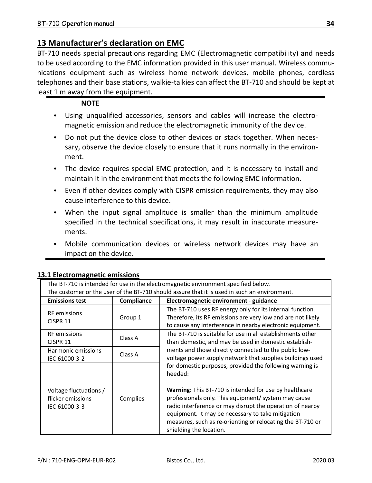# **13 Manufacturer's declaration on EMC**

BT-710 needs special precautions regarding EMC (Electromagnetic compatibility) and needs to be used according to the EMC information provided in this user manual. Wireless communications equipment such as wireless home network devices, mobile phones, cordless telephones and their base stations, walkie-talkies can affect the BT-710 and should be kept at least 1 m away from the equipment.

#### **NOTE**

- Using unqualified accessories, sensors and cables will increase the electromagnetic emission and reduce the electromagnetic immunity of the device.
- Do not put the device close to other devices or stack together. When necessary, observe the device closely to ensure that it runs normally in the environment.
- The device requires special EMC protection, and it is necessary to install and maintain it in the environment that meets the following EMC information.
- Even if other devices comply with CISPR emission requirements, they may also cause interference to this device.
- When the input signal amplitude is smaller than the minimum amplitude specified in the technical specifications, it may result in inaccurate measurements.
- Mobile communication devices or wireless network devices may have an impact on the device.

| The BT-710 is intended for use in the electromagnetic environment specified below.           |          |                                                                                                                                                                                                                                                                                                                                                                                                  |  |
|----------------------------------------------------------------------------------------------|----------|--------------------------------------------------------------------------------------------------------------------------------------------------------------------------------------------------------------------------------------------------------------------------------------------------------------------------------------------------------------------------------------------------|--|
| The customer or the user of the BT-710 should assure that it is used in such an environment. |          |                                                                                                                                                                                                                                                                                                                                                                                                  |  |
| Compliance<br>Electromagnetic environment - guidance<br><b>Emissions test</b>                |          |                                                                                                                                                                                                                                                                                                                                                                                                  |  |
| <b>RF</b> emissions<br>CISPR 11                                                              | Group 1  | The BT-710 uses RF energy only for its internal function.<br>Therefore, its RF emissions are very low and are not likely<br>to cause any interference in nearby electronic equipment.                                                                                                                                                                                                            |  |
| <b>RF</b> emissions<br>CISPR 11                                                              | Class A  | The BT-710 is suitable for use in all establishments other<br>than domestic, and may be used in domestic establish-<br>ments and those directly connected to the public low-<br>voltage power supply network that supplies buildings used                                                                                                                                                        |  |
| Harmonic emissions<br>IEC 61000-3-2                                                          | Class A  |                                                                                                                                                                                                                                                                                                                                                                                                  |  |
| Voltage fluctuations /<br>flicker emissions<br>IEC 61000-3-3                                 | Complies | for domestic purposes, provided the following warning is<br>heeded:<br>Warning: This BT-710 is intended for use by healthcare<br>professionals only. This equipment/ system may cause<br>radio interference or may disrupt the operation of nearby<br>equipment. It may be necessary to take mitigation<br>measures, such as re-orienting or relocating the BT-710 or<br>shielding the location. |  |

#### **13.1 Electromagnetic emissions**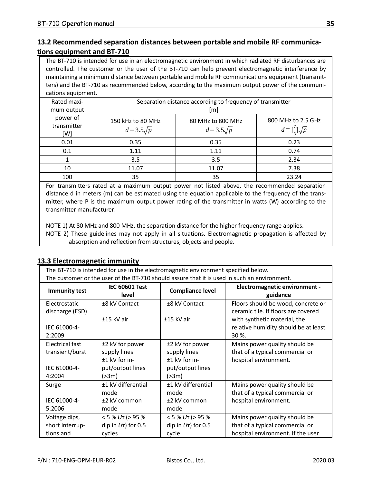## **13.2 Recommended separation distances between portable and mobile RF communications equipment and BT-710**

The BT-710 is intended for use in an electromagnetic environment in which radiated RF disturbances are controlled. The customer or the user of the BT-710 can help prevent electromagnetic interference by maintaining a minimum distance between portable and mobile RF communications equipment (transmitters) and the BT-710 as recommended below, according to the maximum output power of the communications equipment.

| Rated maxi-<br>mum output      |                                        | Separation distance according to frequency of transmitter<br>[m] |                                                              |
|--------------------------------|----------------------------------------|------------------------------------------------------------------|--------------------------------------------------------------|
| power of<br>transmitter<br>[W] | 150 kHz to 80 MHz<br>$d = 3.5\sqrt{p}$ | 80 MHz to 800 MHz<br>$d=3.5\sqrt{p}$                             | 800 MHz to 2.5 GHz<br>$d = \left[\frac{7}{2}\right]\sqrt{p}$ |
| 0.01                           | 0.35                                   | 0.35                                                             | 0.23                                                         |
| 0.1                            | 1.11                                   | 1.11                                                             | 0.74                                                         |
|                                | 3.5                                    | 3.5                                                              | 2.34                                                         |
| 10                             | 11.07                                  | 11.07                                                            | 7.38                                                         |
| 100                            | 35                                     | 35                                                               | 23.24                                                        |

For transmitters rated at a maximum output power not listed above, the recommended separation distance d in meters (m) can be estimated using the equation applicable to the frequency of the transmitter, where P is the maximum output power rating of the transmitter in watts (W) according to the transmitter manufacturer.

NOTE 1) At 80 MHz and 800 MHz, the separation distance for the higher frequency range applies. NOTE 2) These guidelines may not apply in all situations. Electromagnetic propagation is affected by absorption and reflection from structures, objects and people.

#### **13.3 Electromagnetic immunity**

| The BT-710 is intended for use in the electromagnetic environment specified below.           |                                                        |                                                      |                                                                                                           |
|----------------------------------------------------------------------------------------------|--------------------------------------------------------|------------------------------------------------------|-----------------------------------------------------------------------------------------------------------|
| The customer or the user of the BT-710 should assure that it is used in such an environment. |                                                        |                                                      |                                                                                                           |
| Immunity test                                                                                | <b>IEC 60601 Test</b><br>level                         | <b>Compliance level</b>                              | Electromagnetic environment -<br>guidance                                                                 |
| Flectrostatic<br>discharge (ESD)                                                             | +8 kV Contact<br>+15 kV air                            | +8 kV Contact<br>+15 kV air                          | Floors should be wood, concrete or<br>ceramic tile. If floors are covered<br>with synthetic material, the |
| IEC 61000-4-<br>2:2009                                                                       |                                                        |                                                      | relative humidity should be at least<br>30 %.                                                             |
| <b>Flectrical fast</b><br>transient/burst                                                    | ±2 kV for power<br>supply lines<br>+1 kV for in-       | ±2 kV for power<br>supply lines<br>+1 kV for in-     | Mains power quality should be<br>that of a typical commercial or<br>hospital environment.                 |
| IEC 61000-4-<br>4:2004                                                                       | put/output lines<br>(>3m)                              | put/output lines<br>(>3m)                            |                                                                                                           |
| Surge<br>IEC 61000-4-                                                                        | +1 kV differential<br>mode<br>+2 kV common             | +1 kV differential<br>mode<br>±2 kV common           | Mains power quality should be<br>that of a typical commercial or<br>hospital environment.                 |
| 5:2006                                                                                       | mode                                                   | mode                                                 |                                                                                                           |
| Voltage dips,<br>short interrup-<br>tions and                                                | $< 5$ % UT (> 95 %<br>dip in $U_T$ ) for 0.5<br>cycles | $< 5$ % UT (> 95 %<br>dip in $U$ T) for 0.5<br>cycle | Mains power quality should be<br>that of a typical commercial or<br>hospital environment. If the user     |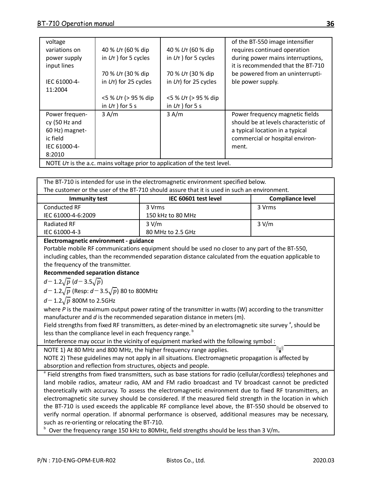| voltage<br>variations on<br>power supply<br>input lines<br>IEC 61000-4-<br>11:2004      | 40 % UT (60 % dip<br>in $U_T$ ) for 5 cycles<br>70 % Ur (30 % dip<br>in Ur) for 25 cycles<br><5 % UT (> 95 % dip | 40 % UT (60 % dip<br>in $U_T$ ) for 5 cycles<br>70 % UT (30 % dip<br>in Ur) for 25 cycles<br><5 % UT (> 95 % dip | of the BT-550 image intensifier<br>requires continued operation<br>during power mains interruptions,<br>it is recommended that the BT-710<br>be powered from an uninterrupti-<br>ble power supply. |
|-----------------------------------------------------------------------------------------|------------------------------------------------------------------------------------------------------------------|------------------------------------------------------------------------------------------------------------------|----------------------------------------------------------------------------------------------------------------------------------------------------------------------------------------------------|
|                                                                                         | in $U_T$ ) for 5 s                                                                                               | in $U_T$ ) for 5 s                                                                                               |                                                                                                                                                                                                    |
| Power frequen-<br>cv (50 Hz and<br>60 Hz) magnet-<br>ic field<br>IFC 61000-4-<br>8:2010 | 3A/m                                                                                                             | 3A/m                                                                                                             | Power frequency magnetic fields<br>should be at levels characteristic of<br>a typical location in a typical<br>commercial or hospital environ-<br>ment.                                            |
|                                                                                         | NOTE UT is the a.c. mains voltage prior to application of the test level.                                        |                                                                                                                  |                                                                                                                                                                                                    |

| The BT-710 is intended for use in the electromagnetic environment specified below.                                    |                                        |                                                                                                         |                         |
|-----------------------------------------------------------------------------------------------------------------------|----------------------------------------|---------------------------------------------------------------------------------------------------------|-------------------------|
| The customer or the user of the BT-710 should assure that it is used in such an environment.                          |                                        |                                                                                                         |                         |
|                                                                                                                       | <b>Immunity test</b>                   | IEC 60601 test level                                                                                    | <b>Compliance level</b> |
| Conducted RF                                                                                                          |                                        | 3 Vrms                                                                                                  | 3 Vrms                  |
| IEC 61000-4-6:2009                                                                                                    |                                        | 150 kHz to 80 MHz                                                                                       |                         |
| <b>Radiated RF</b>                                                                                                    |                                        | 3 V/m                                                                                                   | 3 V/m                   |
| IEC 61000-4-3                                                                                                         |                                        | 80 MHz to 2.5 GHz                                                                                       |                         |
|                                                                                                                       | Electromagnetic environment - guidance |                                                                                                         |                         |
|                                                                                                                       |                                        | Portable mobile RF communications equipment should be used no closer to any part of the BT-550,         |                         |
|                                                                                                                       |                                        | including cables, than the recommended separation distance calculated from the equation applicable to   |                         |
|                                                                                                                       | the frequency of the transmitter.      |                                                                                                         |                         |
| <b>Recommended separation distance</b>                                                                                |                                        |                                                                                                         |                         |
| $d = 1.2\sqrt{p} (d = 3.5\sqrt{p})$                                                                                   |                                        |                                                                                                         |                         |
| $d = 1.2\sqrt{p}$ (Resp: $d = 3.5\sqrt{p}$ ) 80 to 800MHz                                                             |                                        |                                                                                                         |                         |
|                                                                                                                       | $d = 1.2\sqrt{p}$ 800M to 2.5GHz       |                                                                                                         |                         |
|                                                                                                                       |                                        | where P is the maximum output power rating of the transmitter in watts (W) according to the transmitter |                         |
|                                                                                                                       |                                        | manufacturer and d is the recommended separation distance in meters (m).                                |                         |
| Field strengths from fixed RF transmitters, as deter-mined by an electromagnetic site survey <sup>3</sup> , should be |                                        |                                                                                                         |                         |
| less than the compliance level in each frequency range. <sup>b</sup>                                                  |                                        |                                                                                                         |                         |
|                                                                                                                       |                                        | Interference may occur in the vicinity of equipment marked with the following symbol :                  |                         |
|                                                                                                                       |                                        | NOTE 1) At 80 MHz and 800 MHz, the higher frequency range applies.                                      | 950                     |
| NOTE 2) These guidelines may not apply in all situations. Electromagnetic propagation is affected by                  |                                        |                                                                                                         |                         |
| absorption and reflection from structures, objects and people.                                                        |                                        |                                                                                                         |                         |

<sup>a</sup> Field strengths from fixed transmitters, such as base stations for radio (cellular/cordless) telephones and land mobile radios, amateur radio, AM and FM radio broadcast and TV broadcast cannot be predicted theoretically with accuracy. To assess the electromagnetic environment due to fixed RF transmitters, an electromagnetic site survey should be considered. If the measured field strength in the location in which the BT-710 is used exceeds the applicable RF compliance level above, the BT-550 should be observed to verify normal operation. If abnormal performance is observed, additional measures may be necessary, such as re-orienting or relocating the BT-710.

<sup>b</sup> Over the frequency range 150 kHz to 80MHz, field strengths should be less than 3 V/m.